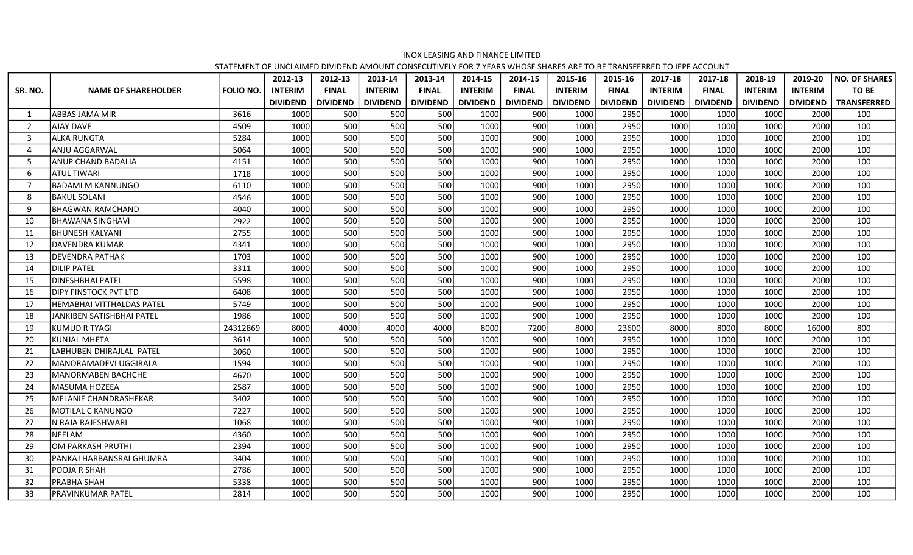## INOX LEASING AND FINANCE LIMITED

STATEMENT OF UNCLAIMED DIVIDEND AMOUNT CONSECUTIVELY FOR 7 YEARS WHOSE SHARES ARE TO BE TRANSFERRED TO IEPF ACCOUNT

|                          |                                  |                  | 2012-13         | 2012-13         | 2013-14         | 2013-14         | 2014-15         | 2014-15         | 2015-16         | 2015-16         | 2017-18         | 2017-18         | 2018-19         | 2019-20         | <b>NO. OF SHARES</b> |
|--------------------------|----------------------------------|------------------|-----------------|-----------------|-----------------|-----------------|-----------------|-----------------|-----------------|-----------------|-----------------|-----------------|-----------------|-----------------|----------------------|
| SR. NO.                  | <b>NAME OF SHAREHOLDER</b>       | <b>FOLIO NO.</b> | <b>INTERIM</b>  | <b>FINAL</b>    | <b>INTERIM</b>  | <b>FINAL</b>    | <b>INTERIM</b>  | <b>FINAL</b>    | <b>INTERIM</b>  | <b>FINAL</b>    | <b>INTERIM</b>  | <b>FINAL</b>    | <b>INTERIM</b>  | <b>INTERIM</b>  | TO BE                |
|                          |                                  |                  | <b>DIVIDEND</b> | <b>DIVIDEND</b> | <b>DIVIDEND</b> | <b>DIVIDEND</b> | <b>DIVIDEND</b> | <b>DIVIDEND</b> | <b>DIVIDEND</b> | <b>DIVIDEND</b> | <b>DIVIDEND</b> | <b>DIVIDEND</b> | <b>DIVIDEND</b> | <b>DIVIDEND</b> | <b>TRANSFERRED</b>   |
| -1                       | ABBAS JAMA MIR                   | 3616             | 1000            | 500             | 500             | 500             | 1000            | 900             | 1000            | 2950            | 1000            | 1000            | 1000            | 2000            | 100                  |
| $\overline{\phantom{a}}$ | <b>AJAY DAVE</b>                 | 4509             | 1000            | 500             | 500             | 500             | 1000            | 900             | 1000            | 2950            | 1000            | 1000            | 1000            | 2000            | 100                  |
| $\overline{3}$           | ALKA RUNGTA                      | 5284             | 1000            | 500             | 500             | 500             | 1000            | 900             | 1000            | 2950            | 1000            | 1000            | 1000            | 2000            | 100                  |
| $\overline{4}$           | ANJU AGGARWAL                    | 5064             | 1000            | 500             | 500             | 500             | 1000            | 900             | 1000            | 2950            | 1000            | 1000            | 1000            | 2000            | 100                  |
| -5                       | <b>ANUP CHAND BADALIA</b>        | 4151             | 1000            | 500             | 500             | 500             | 1000            | 900             | 1000            | 2950            | 1000            | 1000            | 1000            | 2000            | 100                  |
| 6                        | ATUL TIWARI                      | 1718             | 1000            | 500             | 500             | 500             | 1000            | 900             | 1000            | 2950            | 1000            | 1000            | 1000            | 2000            | 100                  |
| $\overline{7}$           | <b>BADAMI M KANNUNGO</b>         | 6110             | 1000            | 500             | 500             | 500             | 1000            | 900             | 1000            | 2950            | 1000            | 1000            | 1000            | 2000            | 100                  |
| 8                        | <b>BAKUL SOLANI</b>              | 4546             | 1000            | 500             | 500             | 500             | 1000            | 900             | 1000            | 2950            | 1000            | 1000            | 1000            | 2000            | 100                  |
| q                        | <b>BHAGWAN RAMCHAND</b>          | 4040             | 1000            | 500             | 500             | 500             | 1000            | 900             | 1000            | 2950            | 1000            | 1000            | 1000            | 2000            | 100                  |
| 10                       | <b>BHAWANA SINGHAVI</b>          | 2922             | 1000            | 500             | 500             | 500             | 1000            | 900             | 1000            | 2950            | 1000            | 1000            | 1000            | 2000            | 100                  |
| 11                       | <b>BHUNESH KALYANI</b>           | 2755             | 1000            | 500             | 500             | 500             | 1000            | 900             | 1000            | 2950            | 1000            | 1000            | 1000            | 2000            | 100                  |
| 12                       | DAVENDRA KUMAR                   | 4341             | 1000            | 500             | 500             | 500             | 1000            | 900             | 1000            | 2950            | 1000            | 1000            | 1000            | 2000            | 100                  |
| 13                       | DEVENDRA PATHAK                  | 1703             | 1000            | 500             | 500             | 500             | 1000            | 900             | 1000            | 2950            | 1000            | 1000            | 1000            | 2000            | 100                  |
| 14                       | <b>DILIP PATEL</b>               | 3311             | 1000            | 500             | 500             | 500             | 1000            | 900             | 1000            | 2950            | 1000            | 1000            | 1000            | 2000            | 100                  |
| 15                       | <b>DINESHBHAI PATEL</b>          | 5598             | 1000            | 500             | 500             | 500             | 1000            | 900             | 1000            | 2950            | 1000            | 1000            | 1000            | 2000            | 100                  |
| 16                       | <b>DIPY FINSTOCK PVT LTD</b>     | 6408             | 1000            | 500             | 500             | 500             | 1000            | 900             | 1000            | 2950            | 1000            | 1000            | 1000            | 2000            | 100                  |
| 17                       | <b>HEMABHAI VITTHALDAS PATEL</b> | 5749             | 1000            | 500             | 500             | 500             | 1000            | 900             | 1000            | 2950            | 1000            | 1000            | 1000            | 2000            | 100                  |
| 18                       | JANKIBEN SATISHBHAI PATEL        | 1986             | 1000            | 500             | 500             | 500             | 1000            | 900             | 1000            | 2950            | 1000            | 1000            | 1000            | 2000            | 100                  |
| 19                       | <b>KUMUD R TYAGI</b>             | 24312869         | 8000            | 4000            | 4000            | 4000            | 8000            | 7200            | 8000            | 23600           | 8000            | 8000            | 8000            | 16000           | 800                  |
| 20                       | <b>KUNJAL MHETA</b>              | 3614             | 1000            | 500             | 500             | 500             | 1000            | 900             | 1000            | 2950            | 1000            | 1000            | 1000            | 2000            | 100                  |
| 21                       | LABHUBEN DHIRAJLAL PATEL         | 3060             | 1000            | 500             | 500             | 500             | 1000            | 900             | 1000            | 2950            | 1000            | 1000            | 1000            | 2000            | 100                  |
| 22                       | MANORAMADEVI UGGIRALA            | 1594             | 1000            | 500             | 500             | 500             | 1000            | 900             | 1000            | 2950            | 1000            | 1000            | 1000            | 2000            | 100                  |
| 23                       | MANORMABEN BACHCHE               | 4670             | 1000            | 500             | 500             | 500             | 1000            | 900             | 1000            | 2950            | 1000            | 1000            | 1000            | 2000            | 100                  |
| 24                       | <b>MASUMA HOZEEA</b>             | 2587             | 1000            | 500             | 500             | 500             | 1000            | 900             | 1000            | 2950            | 1000            | 1000            | 1000            | 2000            | 100                  |
| 25                       | <b>MELANIE CHANDRASHEKAR</b>     | 3402             | 1000            | 500             | 500             | 500             | 1000            | 900             | 1000            | 2950            | 1000            | 1000            | 1000            | 2000            | 100                  |
| 26                       | MOTILAL C KANUNGO                | 7227             | 1000            | 500             | 500             | 500             | 1000            | 900             | 1000            | 2950            | 1000            | 1000            | 1000            | 2000            | 100                  |
| 27                       | N RAJA RAJESHWARI                | 1068             | 1000            | 500             | 500             | 500             | 1000            | 900             | 1000            | 2950            | 1000            | 1000            | 1000            | 2000            | 100                  |
| 28                       | NEELAM                           | 4360             | 1000            | 500             | 500             | 500             | 1000            | 900             | 1000            | 2950            | 1000            | 1000            | 1000            | 2000            | 100                  |
| 29                       | OM PARKASH PRUTHI                | 2394             | 1000            | 500             | 500             | 500             | 1000            | 900             | 1000            | 2950            | 1000            | 1000            | 1000            | 2000            | 100                  |
| 30                       | PANKAJ HARBANSRAI GHUMRA         | 3404             | 1000            | 500             | 500             | 500             | 1000            | 900             | 1000            | 2950            | 1000            | 1000            | 1000            | 2000            | 100                  |
| 31                       | POOJA R SHAH                     | 2786             | 1000            | 500             | 500             | 500             | 1000            | 900             | 1000            | 2950            | 1000            | 1000            | 1000            | 2000            | 100                  |
| 32                       | PRABHA SHAH                      | 5338             | 1000            | 500             | 500             | 500             | 1000            | 900             | 1000            | 2950            | 1000            | 1000            | 1000            | 2000            | 100                  |
| 33                       | PRAVINKUMAR PATEL                | 2814             | 1000            | 500             | 500             | 500             | 1000            | 900             | 1000            | 2950            | 1000            | 1000            | 1000            | 2000            | 100                  |